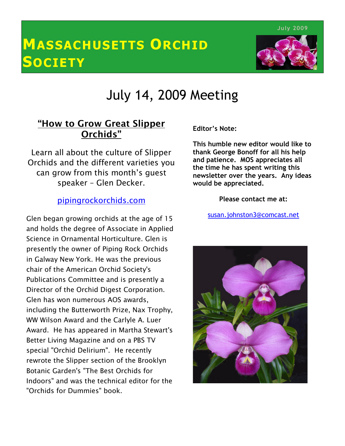July 2009

# MASSACHUSETTS ORCHID **SOCIETY**



# July 14, 2009 Meeting

## "How to Grow Great Slipper Orchids"

 Learn all about the culture of Slipper Orchids and the different varieties you can grow from this month's guest speaker – Glen Decker.

### pipingrockorchids.com

 $\overline{a}$  and holds the degree of Associate in Applied Science in Ornamental Horticulture. Glen is presently the owner of Piping Rock Orchids Glen began growing orchids at the age of 15 in Galway New York. He was the previous chair of the American Orchid Society's Publications Committee and is presently a Director of the Orchid Digest Corporation. Glen has won numerous AOS awards, including the Butterworth Prize, Nax Trophy, WW Wilson Award and the Carlyle A. Luer Award. He has appeared in Martha Stewart's Better Living Magazine and on a PBS TV special "Orchid Delirium". He recently rewrote the Slipper section of the Brooklyn Botanic Garden's "The Best Orchids for Indoors" and was the technical editor for the "Orchids for Dummies" book.

Editor's Note:

This humble new editor would like to thank George Bonoff for all his help and patience. MOS appreciates all the time he has spent writing this newsletter over the years. Any ideas would be appreciated.

Please contact me at:

susan.johnston3@comcast.net

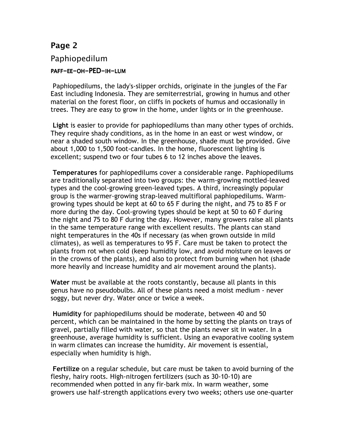#### Paphiopedilum

#### PAFF-EE-OH-PED-IH-LUM

 Paphiopedilums, the lady's-slipper orchids, originate in the jungles of the Far East including Indonesia. They are semiterrestrial, growing in humus and other material on the forest floor, on cliffs in pockets of humus and occasionally in trees. They are easy to grow in the home, under lights or in the greenhouse.

Light is easier to provide for paphiopedilums than many other types of orchids. They require shady conditions, as in the home in an east or west window, or near a shaded south window. In the greenhouse, shade must be provided. Give about 1,000 to 1,500 foot-candles. In the home, fluorescent lighting is excellent; suspend two or four tubes 6 to 12 inches above the leaves.

Temperatures for paphiopedilums cover a considerable range. Paphiopedilums are traditionally separated into two groups: the warm-growing mottled-leaved types and the cool-growing green-leaved types. A third, increasingly popular group is the warmer-growing strap-leaved multifloral paphiopedilums. Warmgrowing types should be kept at 60 to 65 F during the night, and 75 to 85 F or more during the day. Cool-growing types should be kept at 50 to 60 F during the night and 75 to 80 F during the day. However, many growers raise all plants in the same temperature range with excellent results. The plants can stand night temperatures in the 40s if necessary (as when grown outside in mild climates), as well as temperatures to 95 F. Care must be taken to protect the plants from rot when cold (keep humidity low, and avoid moisture on leaves or in the crowns of the plants), and also to protect from burning when hot (shade more heavily and increase humidity and air movement around the plants).

Water must be available at the roots constantly, because all plants in this genus have no pseudobulbs. All of these plants need a moist medium - never soggy, but never dry. Water once or twice a week.

Humidity for paphiopedilums should be moderate, between 40 and 50 percent, which can be maintained in the home by setting the plants on trays of gravel, partially filled with water, so that the plants never sit in water. In a greenhouse, average humidity is sufficient. Using an evaporative cooling system in warm climates can increase the humidity. Air movement is essential, especially when humidity is high.

Fertilize on a regular schedule, but care must be taken to avoid burning of the fleshy, hairy roots. High-nitrogen fertilizers (such as 30-10-10) are recommended when potted in any fir-bark mix. In warm weather, some growers use half-strength applications every two weeks; others use one-quarter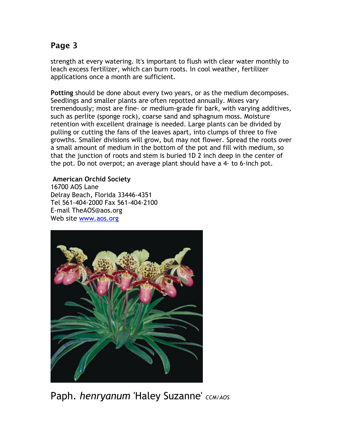strength at every watering. It's important to flush with clear water monthly to leach excess fertilizer, which can burn roots. In cool weather, fertilizer applications once a month are sufficient.

Potting should be done about every two years, or as the medium decomposes. Seedlings and smaller plants are often repotted annually. Mixes vary tremendously; most are fine- or medium-grade fir bark, with varying additives, such as perlite (sponge rock), coarse sand and sphagnum moss. Moisture retention with excellent drainage is needed. Large plants can be divided by pulling or cutting the fans of the leaves apart, into clumps of three to five growths. Smaller divisions will grow, but may not flower. Spread the roots over a small amount of medium in the bottom of the pot and fill with medium, so that the junction of roots and stem is buried 1D 2 inch deep in the center of the pot. Do not overpot; an average plant should have a 4- to 6-inch pot.

#### American Orchid Society

16700 AOS Lane Delray Beach, Florida 33446-4351 Tel 561-404-2000 Fax 561-404-2100 E-mail TheAOS@aos.org Web site www.aos.org



Paph. henryanum 'Haley Suzanne' CCM/AOS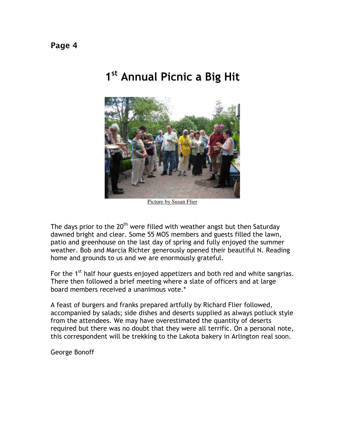## 1<sup>st</sup> Annual Picnic a Big Hit



Picture by Susan Flier

The days prior to the  $20<sup>th</sup>$  were filled with weather angst but then Saturday dawned bright and clear. Some 55 MOS members and guests filled the lawn, patio and greenhouse on the last day of spring and fully enjoyed the summer weather. Bob and Marcia Richter generously opened their beautiful N. Reading home and grounds to us and we are enormously grateful.

For the 1<sup>st</sup> half hour guests enjoyed appetizers and both red and white sangrias. There then followed a brief meeting where a slate of officers and at large board members received a unanimous vote.\*

A feast of burgers and franks prepared artfully by Richard Flier followed, accompanied by salads; side dishes and deserts supplied as always potluck style from the attendees. We may have overestimated the quantity of deserts required but there was no doubt that they were all terrific. On a personal note, this correspondent will be trekking to the Lakota bakery in Arlington real soon.

George Bonoff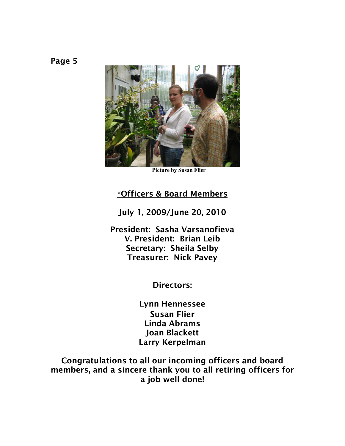

**Picture by Susan Flier**

#### \*Officers & Board Members

July 1, 2009/June 20, 2010

President: Sasha Varsanofieva V. President: Brian Leib Secretary: Sheila Selby Treasurer: Nick Pavey

Directors:

Lynn Hennessee Susan Flier Linda Abrams Joan Blackett Larry Kerpelman

Congratulations to all our incoming officers and board members, and a sincere thank you to all retiring officers for a job well done!